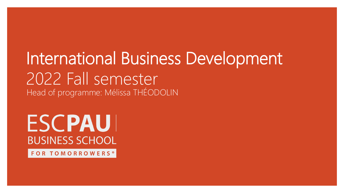# International Business Development 2022 Fall semester Head of programme: Mélissa THÉODOLIN

# **ESCPAUI BUSINESS SCHOOL**

FOR TOMORROWERS<sup>®</sup>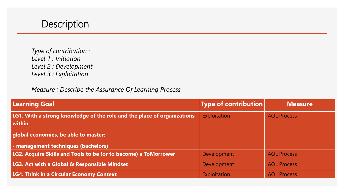

*Type of contribution : Level 1 : Initiation Level 2 : Development Level 3 : Exploitation*

*Measure : Describe the Assurance Of Learning Process*

| <b>Learning Goal</b>                                                              | <b>Type of contribution</b> | <b>Measure</b>     |
|-----------------------------------------------------------------------------------|-----------------------------|--------------------|
| LG1. With a strong knowledge of the role and the place of organizations<br>within | Exploitation                | <b>AOL Process</b> |
| global economies, be able to master:                                              |                             |                    |
| - management techniques (bachelors)                                               |                             |                    |
| LG2. Acquire Skills and Tools to be (or to become) a ToMorrower                   | Development                 | <b>AOL Process</b> |
| <b>LG3. Act with a Global &amp; Responsible Mindset</b>                           | <b>Development</b>          | <b>AOL Process</b> |
| <b>LG4. Think in a Circular Economy Context</b>                                   | Exploitation                | <b>AOL Process</b> |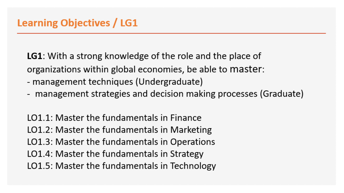**LG1**: With a strong knowledge of the role and the place of organizations within global economies, be able to master:

- management techniques (Undergraduate)
- management strategies and decision making processes (Graduate)

LO1.1: Master the fundamentals in Finance LO1.2: Master the fundamentals in Marketing LO1.3: Master the fundamentals in Operations LO1.4: Master the fundamentals in Strategy LO1.5: Master the fundamentals in Technology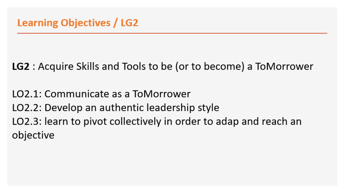# **LG2** : Acquire Skills and Tools to be (or to become) a ToMorrower

LO2.1: Communicate as a ToMorrower LO2.2: Develop an authentic leadership style LO2.3: learn to pivot collectively in order to adap and reach an objective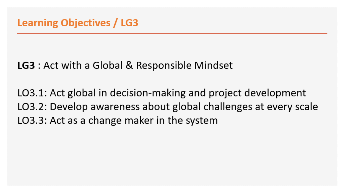# LG3 : Act with a Global & Responsible Mindset

LO3.1: Act global in decision-making and project development LO3.2: Develop awareness about global challenges at every scale LO3.3: Act as a change maker in the system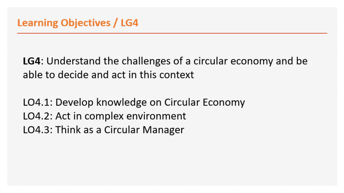**LG4**: Understand the challenges of a circular economy and be able to decide and act in this context

LO4.1: Develop knowledge on Circular Economy LO4.2: Act in complex environment LO4.3: Think as a Circular Manager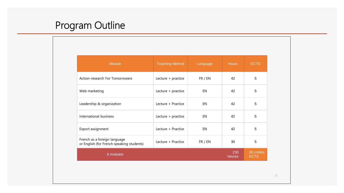# Program Outline

| Module                                                                    | <b>Teaching Method</b> | Language | <b>Hours</b>  | <b>ECTS</b>               |
|---------------------------------------------------------------------------|------------------------|----------|---------------|---------------------------|
| Action-research For Tomorrowers                                           | Lecture + practice     | FR / EN  | 42            | 5                         |
| Web marketing                                                             | Lecture + practice     | EN       | 42            | 5                         |
| Leadership & organization                                                 | Lecture + Practice     | EN       | 42            | 5                         |
| International business                                                    | Lecture + practice     | EN       | 42            | 5                         |
| Export assignment                                                         | Lecture + Practice     | EN       | 42            | 5                         |
| French as a foreign language<br>or English (for French speaking students) | Lecture + Practice     | FR / EN  | 30            | 5                         |
| 6 modules                                                                 |                        |          | 230<br>heures | 30 crédits<br><b>ECTS</b> |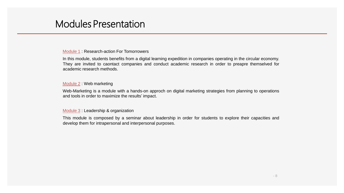## Modules Presentation

#### Module 1 : Research-action For Tomorrowers

In this module, students benefits from a digital learning expedition in companies operating in the circular economy. They are invited to caontact companies and conduct academic research in order to preapre themselved for academic research methods.

#### Module 2 : Web marketing

Web-Marketing is a module with a hands-on approch on digital marketing strategies from planning to operations and tools in order to maximize the results' impact.

#### Module 3 : Leadership & organization

This module is composed by a seminar about leadership in order for students to explore their capacities and develop them for intrapersonal and interpersonal purposes.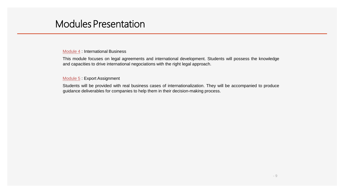## Modules Presentation

#### Module 4 : International Business

This module focuses on legal agreements and international development. Students will possess the knowledge and capacities to drive international negociations with the right legal approach.

#### Module 5: Export Assignment

Students will be provided with real business cases of internationalization. They will be accompanied to produce guidance deliverables for companies to help them in their decision-making process.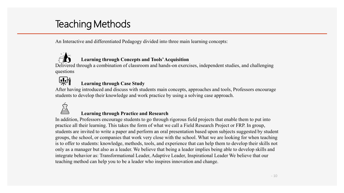# Teaching Methods

An Interactive and differentiated Pedagogy divided into three main learning concepts:



#### **Learning through Concepts and Tools' Acquisition**

Delivered through a combination of classroom and hands-on exercises, independent studies, and challenging questions



#### **Learning through Case Study**

After having introduced and discuss with students main concepts, approaches and tools, Professors encourage students to develop their knowledge and work practice by using a solving case approach.



#### **Learning through Practice and Research**

In addition, Professors encourage students to go through rigorous field projects that enable them to put into practice all their learning. This takes the form of what we call a Field Research Project or FRP. In group, students are invited to write a paper and perform an oral presentation based upon subjects suggested by student groups, the school, or companies that work very close with the school. What we are looking for when teaching is to offer to students: knowledge, methods, tools, and experience that can help them to develop their skills not only as a manager but also as a leader. We believe that being a leader implies being able to develop skills and integrate behavior as: Transformational Leader, Adaptive Leader, Inspirational Leader We believe that our teaching method can help you to be a leader who inspires innovation and change.